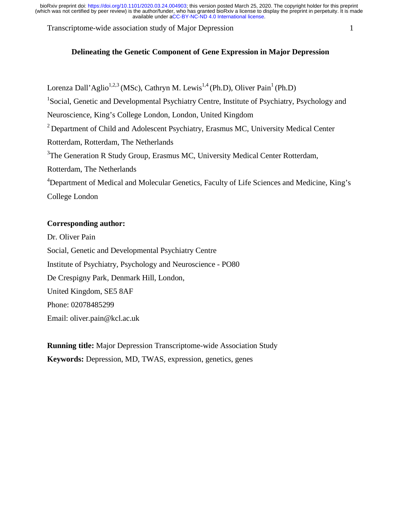Transcriptome-wide association study of Major Depression 1

# **Delineating the Genetic Component of Gene Expression in Major Depression**

Lorenza Dall'Aglio<sup>1,2,3</sup> (MSc), Cathryn M. Lewis<sup>1,4</sup> (Ph.D), Oliver Pain<sup>1</sup> (Ph.D) <sup>1</sup>Social, Genetic and Developmental Psychiatry Centre, Institute of Psychiatry, Psychology and Neuroscience, King's College London, London, United Kingdom <sup>2</sup> Department of Child and Adolescent Psychiatry, Erasmus MC, University Medical Center Rotterdam, Rotterdam, The Netherlands <sup>3</sup>The Generation R Study Group, Erasmus MC, University Medical Center Rotterdam, Rotterdam, The Netherlands <sup>4</sup>Department of Medical and Molecular Genetics, Faculty of Life Sciences and Medicine, King's College London

# **Corresponding author:**

Dr. Oliver Pain Social, Genetic and Developmental Psychiatry Centre Institute of Psychiatry, Psychology and Neuroscience - PO80 De Crespigny Park, Denmark Hill, London, United Kingdom, SE5 8AF Phone: 02078485299 Email: oliver.pain@kcl.ac.uk

**Running title:** Major Depression Transcriptome-wide Association Study **Keywords:** Depression, MD, TWAS, expression, genetics, genes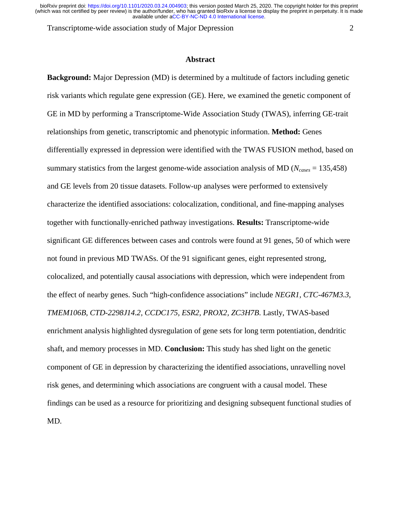Transcriptome-wide association study of Major Depression 2

#### **Abstract**

**Background:** Major Depression (MD) is determined by a multitude of factors including genetic risk variants which regulate gene expression (GE). Here, we examined the genetic component of GE in MD by performing a Transcriptome-Wide Association Study (TWAS), inferring GE-trait relationships from genetic, transcriptomic and phenotypic information. **Method:** Genes differentially expressed in depression were identified with the TWAS FUSION method, based on summary statistics from the largest genome-wide association analysis of MD ( $N_{cases}$  = 135,458) and GE levels from 20 tissue datasets. Follow-up analyses were performed to extensively characterize the identified associations: colocalization, conditional, and fine-mapping analyses together with functionally-enriched pathway investigations. **Results:** Transcriptome-wide significant GE differences between cases and controls were found at 91 genes, 50 of which were not found in previous MD TWASs. Of the 91 significant genes, eight represented strong, colocalized, and potentially causal associations with depression, which were independent from the effect of nearby genes. Such "high-confidence associations" include *NEGR1, CTC-467M3.3, TMEM106B, CTD-2298J14.2, CCDC175, ESR2, PROX2, ZC3H7B*. Lastly, TWAS-based enrichment analysis highlighted dysregulation of gene sets for long term potentiation, dendritic shaft, and memory processes in MD. **Conclusion:** This study has shed light on the genetic component of GE in depression by characterizing the identified associations, unravelling novel risk genes, and determining which associations are congruent with a causal model. These findings can be used as a resource for prioritizing and designing subsequent functional studies of MD.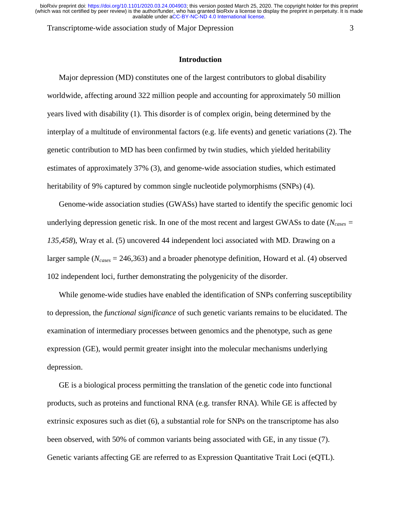Transcriptome-wide association study of Major Depression 3

#### **Introduction**

Major depression (MD) constitutes one of the largest contributors to global disability worldwide, affecting around 322 million people and accounting for approximately 50 million years lived with disability (1). This disorder is of complex origin, being determined by the interplay of a multitude of environmental factors (e.g. life events) and genetic variations (2). The genetic contribution to MD has been confirmed by twin studies, which yielded heritability estimates of approximately 37% (3), and genome-wide association studies, which estimated heritability of 9% captured by common single nucleotide polymorphisms (SNPs) (4).

Genome-wide association studies (GWASs) have started to identify the specific genomic loci underlying depression genetic risk. In one of the most recent and largest GWASs to date ( $N_{cases}$  = *135,458*), Wray et al. (5) uncovered 44 independent loci associated with MD. Drawing on a larger sample (*Ncases* = 246,363) and a broader phenotype definition, Howard et al. (4) observed 102 independent loci, further demonstrating the polygenicity of the disorder.

While genome-wide studies have enabled the identification of SNPs conferring susceptibility to depression, the *functional significance* of such genetic variants remains to be elucidated. The examination of intermediary processes between genomics and the phenotype, such as gene expression (GE), would permit greater insight into the molecular mechanisms underlying depression.

GE is a biological process permitting the translation of the genetic code into functional products, such as proteins and functional RNA (e.g. transfer RNA). While GE is affected by extrinsic exposures such as diet (6), a substantial role for SNPs on the transcriptome has also been observed, with 50% of common variants being associated with GE, in any tissue (7). Genetic variants affecting GE are referred to as Expression Quantitative Trait Loci (eQTL).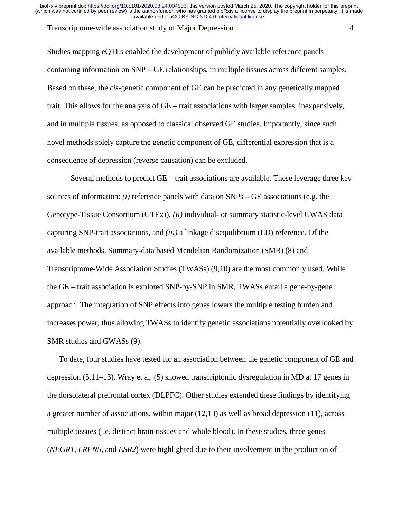#### Transcriptome-wide association study of Major Depression 4

Studies mapping eQTLs enabled the development of publicly available reference panels containing information on SNP – GE relationships, in multiple tissues across different samples. Based on these, the *cis-*genetic component of GE can be predicted in any genetically mapped trait. This allows for the analysis of GE – trait associations with larger samples, inexpensively, and in multiple tissues, as opposed to classical observed GE studies. Importantly, since such novel methods solely capture the genetic component of GE, differential expression that is a consequence of depression (reverse causation) can be excluded.

Several methods to predict GE – trait associations are available. These leverage three key sources of information: *(i)* reference panels with data on SNPs – GE associations (e.g. the Genotype-Tissue Consortium (GTEx)), *(ii)* individual- or summary statistic-level GWAS data capturing SNP-trait associations, and *(iii)* a linkage disequilibrium (LD) reference. Of the available methods, Summary-data based Mendelian Randomization (SMR) (8) and Transcriptome-Wide Association Studies (TWASs) (9,10) are the most commonly used. While the GE – trait association is explored SNP-by-SNP in SMR, TWASs entail a gene-by-gene approach. The integration of SNP effects into genes lowers the multiple testing burden and increases power, thus allowing TWASs to identify genetic associations potentially overlooked by SMR studies and GWASs (9).

To date, four studies have tested for an association between the genetic component of GE and depression (5,11–13). Wray et al. (5) showed transcriptomic dysregulation in MD at 17 genes in the dorsolateral prefrontal cortex (DLPFC). Other studies extended these findings by identifying a greater number of associations, within major (12,13) as well as broad depression (11), across multiple tissues (i.e. distinct brain tissues and whole blood). In these studies, three genes (*NEGR1, LRFN5,* and *ESR2*) were highlighted due to their involvement in the production of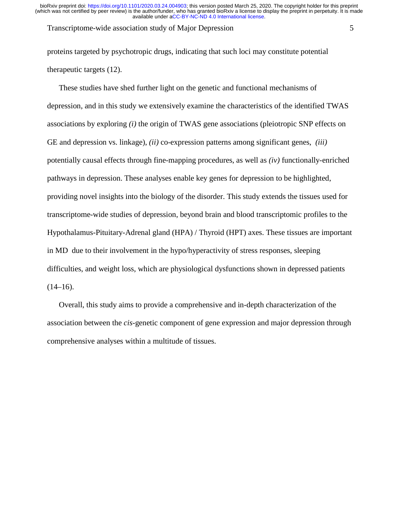Transcriptome-wide association study of Major Depression 5

proteins targeted by psychotropic drugs, indicating that such loci may constitute potential therapeutic targets (12).

These studies have shed further light on the genetic and functional mechanisms of depression, and in this study we extensively examine the characteristics of the identified TWAS associations by exploring *(i)* the origin of TWAS gene associations (pleiotropic SNP effects on GE and depression vs. linkage), *(ii)* co-expression patterns among significant genes, *(iii)* potentially causal effects through fine-mapping procedures, as well as *(iv)* functionally-enriched pathways in depression. These analyses enable key genes for depression to be highlighted, providing novel insights into the biology of the disorder. This study extends the tissues used for transcriptome-wide studies of depression, beyond brain and blood transcriptomic profiles to the Hypothalamus-Pituitary-Adrenal gland (HPA) / Thyroid (HPT) axes. These tissues are important in MD due to their involvement in the hypo/hyperactivity of stress responses, sleeping difficulties, and weight loss, which are physiological dysfunctions shown in depressed patients  $(14–16)$ .

Overall, this study aims to provide a comprehensive and in-depth characterization of the association between the *cis-*genetic component of gene expression and major depression through comprehensive analyses within a multitude of tissues.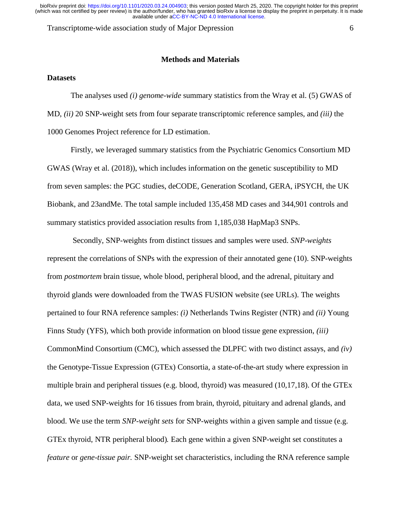Transcriptome-wide association study of Major Depression 6

#### **Methods and Materials**

## **Datasets**

The analyses used *(i) genome-wide* summary statistics from the Wray et al. (5) GWAS of MD, *(ii)* 20 SNP-weight sets from four separate transcriptomic reference samples, and *(iii)* the 1000 Genomes Project reference for LD estimation.

Firstly, we leveraged summary statistics from the Psychiatric Genomics Consortium MD GWAS (Wray et al. (2018)), which includes information on the genetic susceptibility to MD from seven samples: the PGC studies, deCODE, Generation Scotland, GERA, iPSYCH, the UK Biobank, and 23andMe. The total sample included 135,458 MD cases and 344,901 controls and summary statistics provided association results from 1,185,038 HapMap3 SNPs.

Secondly, SNP-weights from distinct tissues and samples were used. *SNP-weights* represent the correlations of SNPs with the expression of their annotated gene (10). SNP-weights from *postmortem* brain tissue, whole blood, peripheral blood, and the adrenal, pituitary and thyroid glands were downloaded from the TWAS FUSION website (see URLs). The weights pertained to four RNA reference samples: *(i)* Netherlands Twins Register (NTR) and *(ii)* Young Finns Study (YFS), which both provide information on blood tissue gene expression, *(iii)*  CommonMind Consortium (CMC), which assessed the DLPFC with two distinct assays, and *(iv)*  the Genotype-Tissue Expression (GTEx) Consortia, a state-of-the-art study where expression in multiple brain and peripheral tissues (e.g. blood, thyroid) was measured (10,17,18). Of the GTEx data, we used SNP-weights for 16 tissues from brain, thyroid, pituitary and adrenal glands, and blood. We use the term *SNP-weight sets* for SNP-weights within a given sample and tissue (e.g. GTEx thyroid, NTR peripheral blood)*.* Each gene within a given SNP-weight set constitutes a *feature* or *gene-tissue pair.* SNP-weight set characteristics, including the RNA reference sample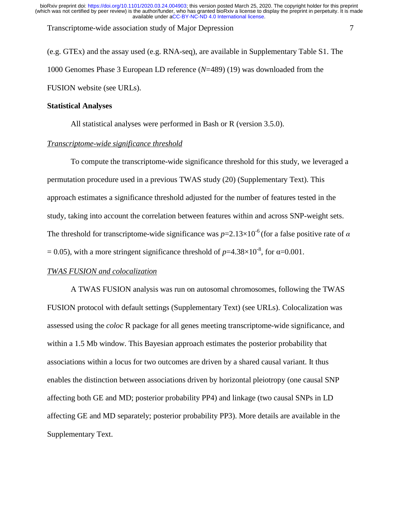Transcriptome-wide association study of Major Depression 7

(e.g. GTEx) and the assay used (e.g. RNA-seq), are available in Supplementary Table S1. The 1000 Genomes Phase 3 European LD reference (*N*=489) (19) was downloaded from the FUSION website (see URLs).

## **Statistical Analyses**

All statistical analyses were performed in Bash or R (version 3.5.0).

## *Transcriptome-wide significance threshold*

To compute the transcriptome-wide significance threshold for this study, we leveraged a permutation procedure used in a previous TWAS study (20) (Supplementary Text). This approach estimates a significance threshold adjusted for the number of features tested in the study, taking into account the correlation between features within and across SNP-weight sets. The threshold for transcriptome-wide significance was  $p=2.13\times10^{-6}$  (for a false positive rate of  $\alpha$ ) = 0.05), with a more stringent significance threshold of  $p=4.38\times10^{-8}$ , for  $\alpha=0.001$ .

## *TWAS FUSION and colocalization*

A TWAS FUSION analysis was run on autosomal chromosomes, following the TWAS FUSION protocol with default settings (Supplementary Text) (see URLs). Colocalization was assessed using the *coloc* R package for all genes meeting transcriptome-wide significance, and within a 1.5 Mb window. This Bayesian approach estimates the posterior probability that associations within a locus for two outcomes are driven by a shared causal variant. It thus enables the distinction between associations driven by horizontal pleiotropy (one causal SNP affecting both GE and MD; posterior probability PP4) and linkage (two causal SNPs in LD affecting GE and MD separately; posterior probability PP3). More details are available in the Supplementary Text.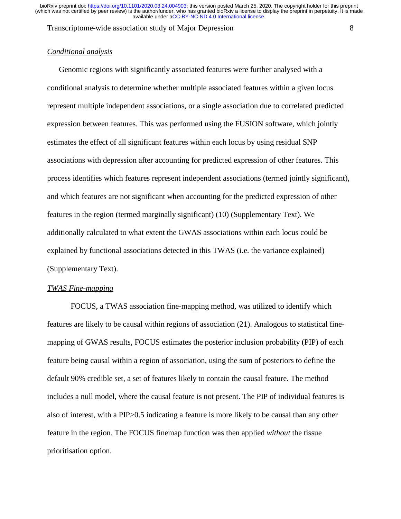Transcriptome-wide association study of Major Depression 8

## *Conditional analysis*

Genomic regions with significantly associated features were further analysed with a conditional analysis to determine whether multiple associated features within a given locus represent multiple independent associations, or a single association due to correlated predicted expression between features. This was performed using the FUSION software, which jointly estimates the effect of all significant features within each locus by using residual SNP associations with depression after accounting for predicted expression of other features. This process identifies which features represent independent associations (termed jointly significant), and which features are not significant when accounting for the predicted expression of other features in the region (termed marginally significant) (10) (Supplementary Text). We additionally calculated to what extent the GWAS associations within each locus could be explained by functional associations detected in this TWAS (i.e. the variance explained) (Supplementary Text).

## *TWAS Fine-mapping*

 FOCUS, a TWAS association fine-mapping method, was utilized to identify which features are likely to be causal within regions of association (21). Analogous to statistical finemapping of GWAS results, FOCUS estimates the posterior inclusion probability (PIP) of each feature being causal within a region of association, using the sum of posteriors to define the default 90% credible set, a set of features likely to contain the causal feature. The method includes a null model, where the causal feature is not present. The PIP of individual features is also of interest, with a PIP>0.5 indicating a feature is more likely to be causal than any other feature in the region. The FOCUS finemap function was then applied *without* the tissue prioritisation option.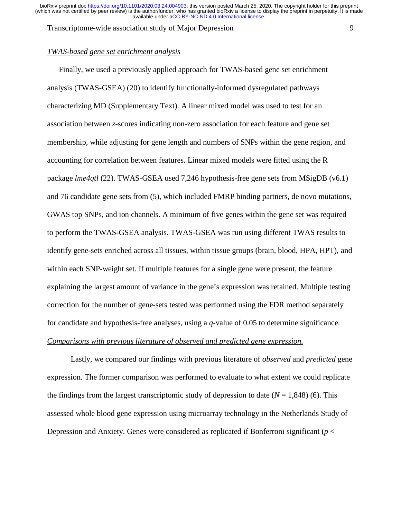Transcriptome-wide association study of Major Depression 9

# *TWAS-based gene set enrichment analysis*

Finally, we used a previously applied approach for TWAS-based gene set enrichment analysis (TWAS-GSEA) (20) to identify functionally-informed dysregulated pathways characterizing MD (Supplementary Text). A linear mixed model was used to test for an association between *z*-scores indicating non-zero association for each feature and gene set membership, while adjusting for gene length and numbers of SNPs within the gene region, and accounting for correlation between features. Linear mixed models were fitted using the R package *lme4qtl* (22). TWAS-GSEA used 7,246 hypothesis-free gene sets from MSigDB (v6.1) and 76 candidate gene sets from (5), which included FMRP binding partners, de novo mutations, GWAS top SNPs, and ion channels. A minimum of five genes within the gene set was required to perform the TWAS-GSEA analysis. TWAS-GSEA was run using different TWAS results to identify gene-sets enriched across all tissues, within tissue groups (brain, blood, HPA, HPT), and within each SNP-weight set. If multiple features for a single gene were present, the feature explaining the largest amount of variance in the gene's expression was retained. Multiple testing correction for the number of gene-sets tested was performed using the FDR method separately for candidate and hypothesis-free analyses, using a *q*-value of 0.05 to determine significance. *Comparisons with previous literature of observed and predicted gene expression.*

 Lastly, we compared our findings with previous literature of *observed* and *predicted* gene expression. The former comparison was performed to evaluate to what extent we could replicate the findings from the largest transcriptomic study of depression to date  $(N = 1,848)$  (6). This assessed whole blood gene expression using microarray technology in the Netherlands Study of Depression and Anxiety. Genes were considered as replicated if Bonferroni significant (*p* <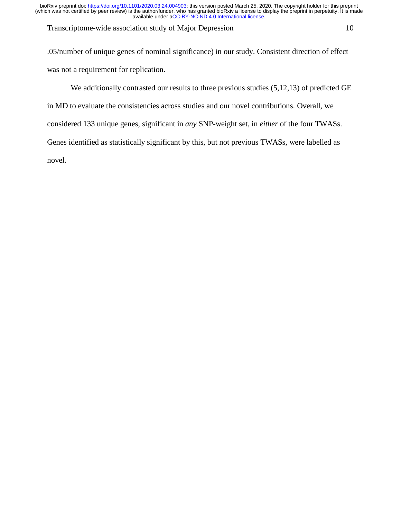Transcriptome-wide association study of Major Depression 10

.05/number of unique genes of nominal significance) in our study. Consistent direction of effect was not a requirement for replication.

We additionally contrasted our results to three previous studies  $(5,12,13)$  of predicted GE in MD to evaluate the consistencies across studies and our novel contributions. Overall, we considered 133 unique genes, significant in *any* SNP-weight set, in *either* of the four TWASs. Genes identified as statistically significant by this, but not previous TWASs, were labelled as novel.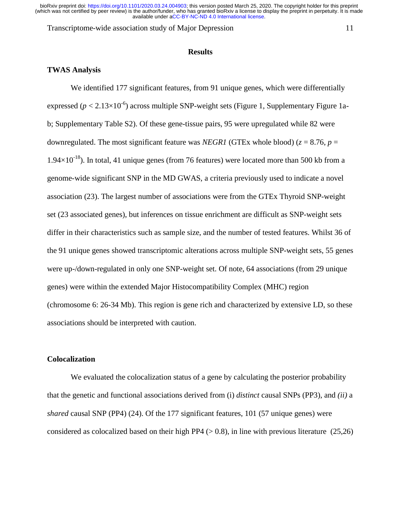Transcriptome-wide association study of Major Depression 11

#### **Results**

# **TWAS Analysis**

We identified 177 significant features, from 91 unique genes, which were differentially expressed ( $p < 2.13 \times 10^{-6}$ ) across multiple SNP-weight sets (Figure 1, Supplementary Figure 1ab; Supplementary Table S2). Of these gene-tissue pairs, 95 were upregulated while 82 were downregulated. The most significant feature was *NEGR1* (GTEx whole blood) ( $z = 8.76$ ,  $p =$  $1.94\times10^{-18}$ ). In total, 41 unique genes (from 76 features) were located more than 500 kb from a genome-wide significant SNP in the MD GWAS, a criteria previously used to indicate a novel association (23). The largest number of associations were from the GTEx Thyroid SNP-weight set (23 associated genes), but inferences on tissue enrichment are difficult as SNP-weight sets differ in their characteristics such as sample size, and the number of tested features. Whilst 36 of the 91 unique genes showed transcriptomic alterations across multiple SNP-weight sets, 55 genes were up-/down-regulated in only one SNP-weight set. Of note, 64 associations (from 29 unique genes) were within the extended Major Histocompatibility Complex (MHC) region (chromosome 6: 26-34 Mb). This region is gene rich and characterized by extensive LD, so these associations should be interpreted with caution.

## **Colocalization**

We evaluated the colocalization status of a gene by calculating the posterior probability that the genetic and functional associations derived from (i) *distinct* causal SNPs (PP3), and *(ii)* a *shared* causal SNP (PP4) (24). Of the 177 significant features, 101 (57 unique genes) were considered as colocalized based on their high PP4 ( $> 0.8$ ), in line with previous literature (25,26)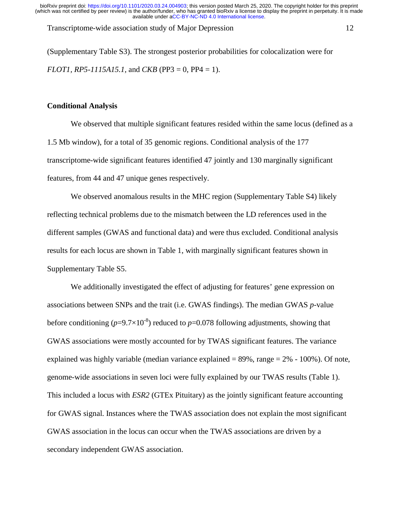Transcriptome-wide association study of Major Depression 12

(Supplementary Table S3). The strongest posterior probabilities for colocalization were for *FLOT1, RP5-1115A15.1,* and *CKB* (PP3 = 0, PP4 = 1).

## **Conditional Analysis**

 We observed that multiple significant features resided within the same locus (defined as a 1.5 Mb window), for a total of 35 genomic regions. Conditional analysis of the 177 transcriptome-wide significant features identified 47 jointly and 130 marginally significant features, from 44 and 47 unique genes respectively.

We observed anomalous results in the MHC region (Supplementary Table S4) likely reflecting technical problems due to the mismatch between the LD references used in the different samples (GWAS and functional data) and were thus excluded. Conditional analysis results for each locus are shown in Table 1, with marginally significant features shown in Supplementary Table S5.

We additionally investigated the effect of adjusting for features' gene expression on associations between SNPs and the trait (i.e. GWAS findings). The median GWAS *p-*value before conditioning ( $p=9.7\times10^{-8}$ ) reduced to  $p=0.078$  following adjustments, showing that GWAS associations were mostly accounted for by TWAS significant features. The variance explained was highly variable (median variance explained  $= 89\%$ , range  $= 2\% - 100\%$ ). Of note, genome-wide associations in seven loci were fully explained by our TWAS results (Table 1). This included a locus with *ESR2* (GTEx Pituitary) as the jointly significant feature accounting for GWAS signal. Instances where the TWAS association does not explain the most significant GWAS association in the locus can occur when the TWAS associations are driven by a secondary independent GWAS association.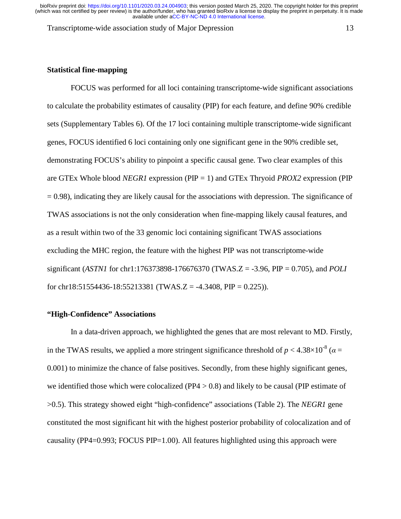Transcriptome-wide association study of Major Depression 13

# **Statistical fine-mapping**

 FOCUS was performed for all loci containing transcriptome-wide significant associations to calculate the probability estimates of causality (PIP) for each feature, and define 90% credible sets (Supplementary Tables 6). Of the 17 loci containing multiple transcriptome-wide significant genes, FOCUS identified 6 loci containing only one significant gene in the 90% credible set, demonstrating FOCUS's ability to pinpoint a specific causal gene. Two clear examples of this are GTEx Whole blood *NEGR1* expression (PIP = 1) and GTEx Thryoid *PROX2* expression (PIP  $= 0.98$ ), indicating they are likely causal for the associations with depression. The significance of TWAS associations is not the only consideration when fine-mapping likely causal features, and as a result within two of the 33 genomic loci containing significant TWAS associations excluding the MHC region, the feature with the highest PIP was not transcriptome-wide significant (*ASTN1* for chr1:176373898-176676370 (TWAS.Z = -3.96, PIP = 0.705), and *POLI* for chr18:51554436-18:55213381 (TWAS.Z = -4.3408, PIP = 0.225)).

## **"High-Confidence" Associations**

In a data-driven approach, we highlighted the genes that are most relevant to MD. Firstly, in the TWAS results, we applied a more stringent significance threshold of  $p < 4.38 \times 10^{-8}$  ( $\alpha =$ 0.001) to minimize the chance of false positives. Secondly, from these highly significant genes, we identified those which were colocalized (PP4  $> 0.8$ ) and likely to be causal (PIP estimate of >0.5). This strategy showed eight "high-confidence" associations (Table 2). The *NEGR1* gene constituted the most significant hit with the highest posterior probability of colocalization and of causality (PP4=0.993; FOCUS PIP=1.00). All features highlighted using this approach were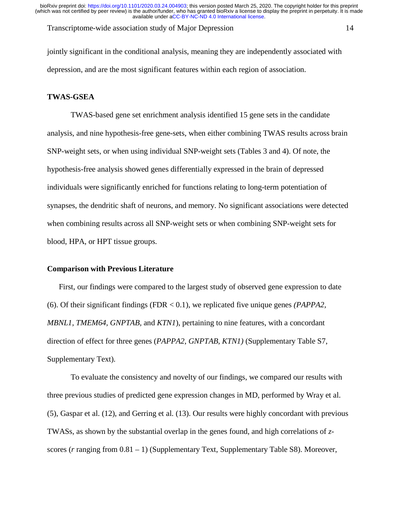Transcriptome-wide association study of Major Depression 14

jointly significant in the conditional analysis, meaning they are independently associated with depression, and are the most significant features within each region of association.

# **TWAS-GSEA**

TWAS-based gene set enrichment analysis identified 15 gene sets in the candidate analysis, and nine hypothesis-free gene-sets, when either combining TWAS results across brain SNP-weight sets, or when using individual SNP-weight sets (Tables 3 and 4). Of note, the hypothesis-free analysis showed genes differentially expressed in the brain of depressed individuals were significantly enriched for functions relating to long-term potentiation of synapses, the dendritic shaft of neurons, and memory. No significant associations were detected when combining results across all SNP-weight sets or when combining SNP-weight sets for blood, HPA, or HPT tissue groups.

## **Comparison with Previous Literature**

First, our findings were compared to the largest study of observed gene expression to date (6). Of their significant findings (FDR < 0.1), we replicated five unique genes *(PAPPA2, MBNL1, TMEM64, GNPTAB,* and *KTN1*), pertaining to nine features, with a concordant direction of effect for three genes (*PAPPA2*, *GNPTAB, KTN1)* (Supplementary Table S7, Supplementary Text).

To evaluate the consistency and novelty of our findings, we compared our results with three previous studies of predicted gene expression changes in MD, performed by Wray et al. (5), Gaspar et al. (12), and Gerring et al. (13). Our results were highly concordant with previous TWASs, as shown by the substantial overlap in the genes found, and high correlations of *z*scores (*r* ranging from 0.81 – 1) (Supplementary Text, Supplementary Table S8). Moreover,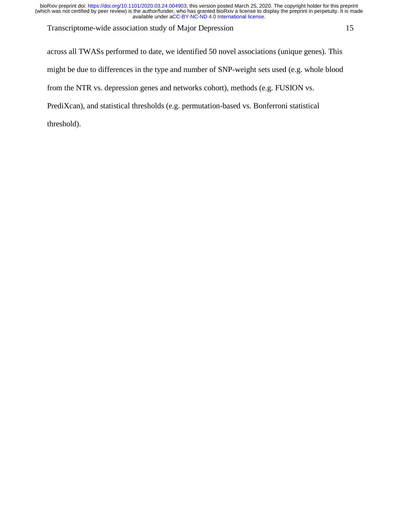Transcriptome-wide association study of Major Depression 15

across all TWASs performed to date, we identified 50 novel associations (unique genes). This might be due to differences in the type and number of SNP-weight sets used (e.g. whole blood from the NTR vs. depression genes and networks cohort), methods (e.g. FUSION vs. PrediXcan), and statistical thresholds (e.g. permutation-based vs. Bonferroni statistical threshold).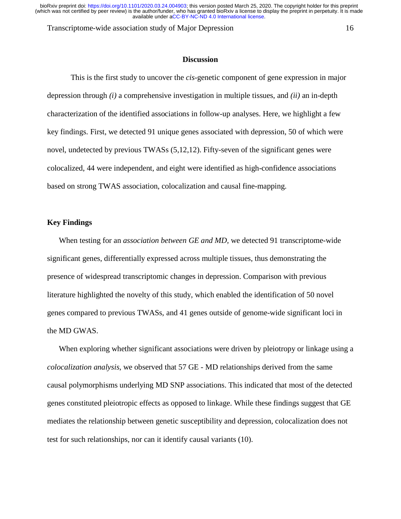Transcriptome-wide association study of Major Depression 16

#### **Discussion**

This is the first study to uncover the *cis-*genetic component of gene expression in major depression through *(i)* a comprehensive investigation in multiple tissues, and *(ii)* an in-depth characterization of the identified associations in follow-up analyses. Here, we highlight a few key findings. First, we detected 91 unique genes associated with depression, 50 of which were novel, undetected by previous TWASs (5,12,12). Fifty-seven of the significant genes were colocalized, 44 were independent, and eight were identified as high-confidence associations based on strong TWAS association, colocalization and causal fine-mapping.

## **Key Findings**

When testing for an *association between GE and MD,* we detected 91 transcriptome-wide significant genes, differentially expressed across multiple tissues, thus demonstrating the presence of widespread transcriptomic changes in depression. Comparison with previous literature highlighted the novelty of this study, which enabled the identification of 50 novel genes compared to previous TWASs, and 41 genes outside of genome-wide significant loci in the MD GWAS.

When exploring whether significant associations were driven by pleiotropy or linkage using a *colocalization analysis*, we observed that 57 GE - MD relationships derived from the same causal polymorphisms underlying MD SNP associations. This indicated that most of the detected genes constituted pleiotropic effects as opposed to linkage. While these findings suggest that GE mediates the relationship between genetic susceptibility and depression, colocalization does not test for such relationships, nor can it identify causal variants (10).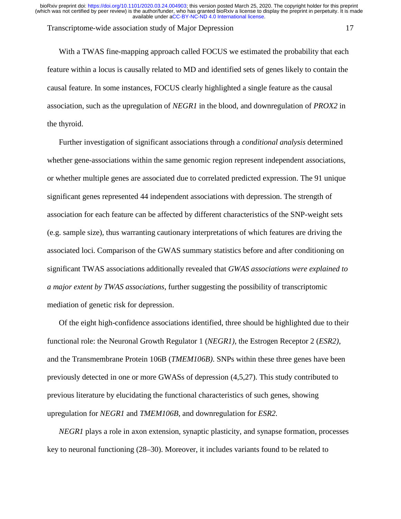#### Transcriptome-wide association study of Major Depression 17

With a TWAS fine-mapping approach called FOCUS we estimated the probability that each feature within a locus is causally related to MD and identified sets of genes likely to contain the causal feature. In some instances, FOCUS clearly highlighted a single feature as the causal association, such as the upregulation of *NEGR1* in the blood, and downregulation of *PROX2* in the thyroid.

Further investigation of significant associations through a *conditional analysis* determined whether gene-associations within the same genomic region represent independent associations, or whether multiple genes are associated due to correlated predicted expression. The 91 unique significant genes represented 44 independent associations with depression. The strength of association for each feature can be affected by different characteristics of the SNP-weight sets (e.g. sample size), thus warranting cautionary interpretations of which features are driving the associated loci. Comparison of the GWAS summary statistics before and after conditioning on significant TWAS associations additionally revealed that *GWAS associations were explained to a major extent by TWAS associations*, further suggesting the possibility of transcriptomic mediation of genetic risk for depression.

Of the eight high-confidence associations identified, three should be highlighted due to their functional role: the Neuronal Growth Regulator 1 (*NEGR1)*, the Estrogen Receptor 2 (*ESR2)*, and the Transmembrane Protein 106B (*TMEM106B)*. SNPs within these three genes have been previously detected in one or more GWASs of depression (4,5,27). This study contributed to previous literature by elucidating the functional characteristics of such genes, showing upregulation for *NEGR1* and *TMEM106B,* and downregulation for *ESR2.* 

*NEGR1* plays a role in axon extension, synaptic plasticity, and synapse formation, processes key to neuronal functioning (28–30). Moreover, it includes variants found to be related to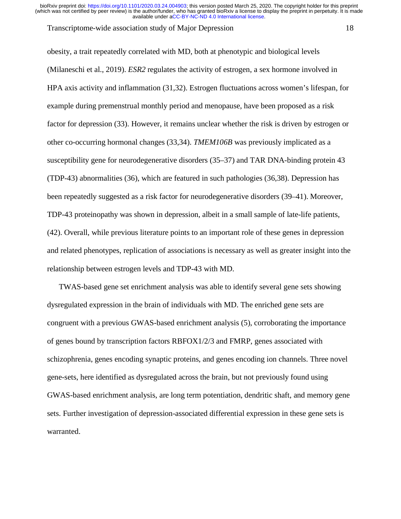#### Transcriptome-wide association study of Major Depression 18

obesity, a trait repeatedly correlated with MD, both at phenotypic and biological levels (Milaneschi et al., 2019). *ESR2* regulates the activity of estrogen, a sex hormone involved in HPA axis activity and inflammation (31,32). Estrogen fluctuations across women's lifespan, for example during premenstrual monthly period and menopause, have been proposed as a risk factor for depression (33). However, it remains unclear whether the risk is driven by estrogen or other co-occurring hormonal changes (33,34). *TMEM106B* was previously implicated as a susceptibility gene for neurodegenerative disorders (35–37) and TAR DNA-binding protein 43 (TDP-43) abnormalities (36), which are featured in such pathologies (36,38). Depression has been repeatedly suggested as a risk factor for neurodegenerative disorders (39–41). Moreover, TDP-43 proteinopathy was shown in depression, albeit in a small sample of late-life patients, (42). Overall, while previous literature points to an important role of these genes in depression and related phenotypes, replication of associations is necessary as well as greater insight into the relationship between estrogen levels and TDP-43 with MD.

TWAS-based gene set enrichment analysis was able to identify several gene sets showing dysregulated expression in the brain of individuals with MD. The enriched gene sets are congruent with a previous GWAS-based enrichment analysis (5), corroborating the importance of genes bound by transcription factors RBFOX1/2/3 and FMRP, genes associated with schizophrenia, genes encoding synaptic proteins, and genes encoding ion channels. Three novel gene-sets, here identified as dysregulated across the brain, but not previously found using GWAS-based enrichment analysis, are long term potentiation, dendritic shaft, and memory gene sets. Further investigation of depression-associated differential expression in these gene sets is warranted.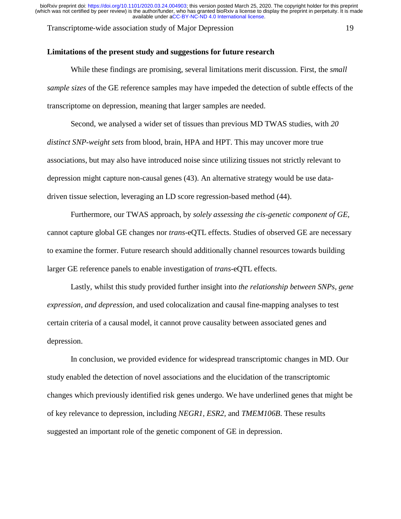Transcriptome-wide association study of Major Depression 19

## **Limitations of the present study and suggestions for future research**

While these findings are promising, several limitations merit discussion. First, the *small sample sizes* of the GE reference samples may have impeded the detection of subtle effects of the transcriptome on depression, meaning that larger samples are needed.

Second, we analysed a wider set of tissues than previous MD TWAS studies, with *20 distinct SNP-weight sets* from blood, brain, HPA and HPT. This may uncover more true associations, but may also have introduced noise since utilizing tissues not strictly relevant to depression might capture non-causal genes (43). An alternative strategy would be use datadriven tissue selection, leveraging an LD score regression-based method (44).

Furthermore, our TWAS approach, by *solely assessing the cis-genetic component of GE,* cannot capture global GE changes nor *trans*-eQTL effects. Studies of observed GE are necessary to examine the former. Future research should additionally channel resources towards building larger GE reference panels to enable investigation of *trans-*eQTL effects.

Lastly, whilst this study provided further insight into *the relationship between SNPs, gene expression, and depression,* and used colocalization and causal fine-mapping analyses to test certain criteria of a causal model, it cannot prove causality between associated genes and depression.

In conclusion, we provided evidence for widespread transcriptomic changes in MD. Our study enabled the detection of novel associations and the elucidation of the transcriptomic changes which previously identified risk genes undergo. We have underlined genes that might be of key relevance to depression, including *NEGR1, ESR2,* and *TMEM106B*. These results suggested an important role of the genetic component of GE in depression.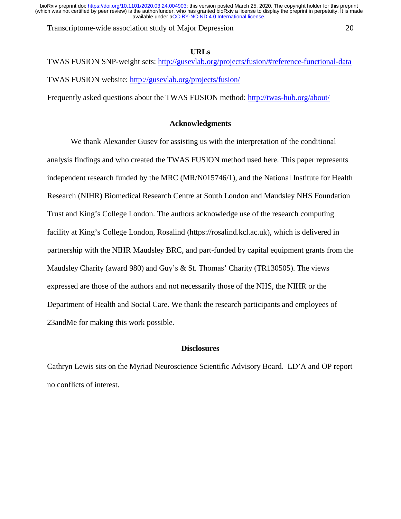Transcriptome-wide association study of Major Depression 20

## **URLs**

TWAS FUSION SNP-weight sets: http://gusevlab.org/projects/fusion/#reference-functional-data TWAS FUSION website: http://gusevlab.org/projects/fusion/

Frequently asked questions about the TWAS FUSION method: http://twas-hub.org/about/

# **Acknowledgments**

We thank Alexander Gusev for assisting us with the interpretation of the conditional analysis findings and who created the TWAS FUSION method used here. This paper represents independent research funded by the MRC (MR/N015746/1), and the National Institute for Health Research (NIHR) Biomedical Research Centre at South London and Maudsley NHS Foundation Trust and King's College London. The authors acknowledge use of the research computing facility at King's College London, Rosalind (https://rosalind.kcl.ac.uk), which is delivered in partnership with the NIHR Maudsley BRC, and part-funded by capital equipment grants from the Maudsley Charity (award 980) and Guy's & St. Thomas' Charity (TR130505). The views expressed are those of the authors and not necessarily those of the NHS, the NIHR or the Department of Health and Social Care. We thank the research participants and employees of 23andMe for making this work possible.

# **Disclosures**

Cathryn Lewis sits on the Myriad Neuroscience Scientific Advisory Board. LD'A and OP report no conflicts of interest.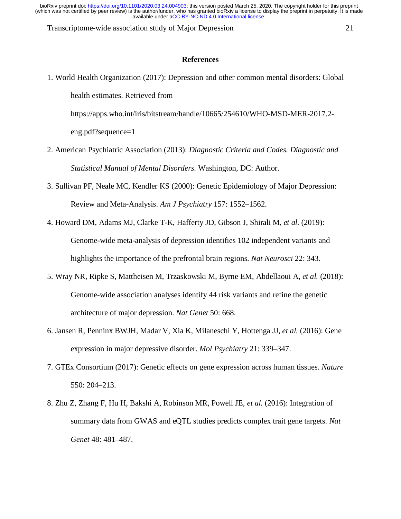Transcriptome-wide association study of Major Depression 21

#### **References**

1. World Health Organization (2017): Depression and other common mental disorders: Global health estimates. Retrieved from

https://apps.who.int/iris/bitstream/handle/10665/254610/WHO-MSD-MER-2017.2-

eng.pdf?sequence=1

- 2. American Psychiatric Association (2013): *Diagnostic Criteria and Codes. Diagnostic and Statistical Manual of Mental Disorders.* Washington, DC: Author.
- 3. Sullivan PF, Neale MC, Kendler KS (2000): Genetic Epidemiology of Major Depression: Review and Meta-Analysis. *Am J Psychiatry* 157: 1552–1562.
- 4. Howard DM, Adams MJ, Clarke T-K, Hafferty JD, Gibson J, Shirali M, *et al.* (2019): Genome-wide meta-analysis of depression identifies 102 independent variants and highlights the importance of the prefrontal brain regions. *Nat Neurosci* 22: 343.
- 5. Wray NR, Ripke S, Mattheisen M, Trzaskowski M, Byrne EM, Abdellaoui A, *et al.* (2018): Genome-wide association analyses identify 44 risk variants and refine the genetic architecture of major depression. *Nat Genet* 50: 668.
- 6. Jansen R, Penninx BWJH, Madar V, Xia K, Milaneschi Y, Hottenga JJ, *et al.* (2016): Gene expression in major depressive disorder. *Mol Psychiatry* 21: 339–347.
- 7. GTEx Consortium (2017): Genetic effects on gene expression across human tissues. *Nature* 550: 204–213.
- 8. Zhu Z, Zhang F, Hu H, Bakshi A, Robinson MR, Powell JE, *et al.* (2016): Integration of summary data from GWAS and eQTL studies predicts complex trait gene targets. *Nat Genet* 48: 481–487.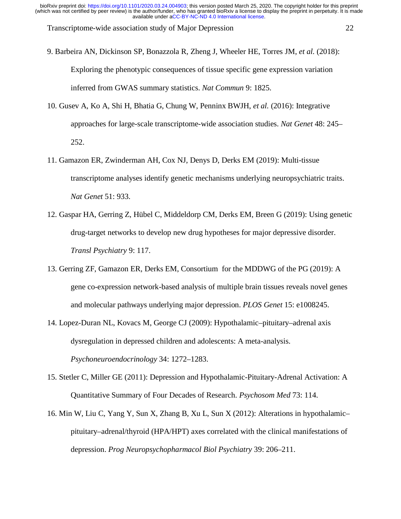Transcriptome-wide association study of Major Depression 22

9. Barbeira AN, Dickinson SP, Bonazzola R, Zheng J, Wheeler HE, Torres JM, *et al.* (2018): Exploring the phenotypic consequences of tissue specific gene expression variation inferred from GWAS summary statistics. *Nat Commun* 9: 1825.

- 10. Gusev A, Ko A, Shi H, Bhatia G, Chung W, Penninx BWJH, *et al.* (2016): Integrative approaches for large-scale transcriptome-wide association studies. *Nat Genet* 48: 245– 252.
- 11. Gamazon ER, Zwinderman AH, Cox NJ, Denys D, Derks EM (2019): Multi-tissue transcriptome analyses identify genetic mechanisms underlying neuropsychiatric traits. *Nat Genet* 51: 933.
- 12. Gaspar HA, Gerring Z, Hübel C, Middeldorp CM, Derks EM, Breen G (2019): Using genetic drug-target networks to develop new drug hypotheses for major depressive disorder. *Transl Psychiatry* 9: 117.
- 13. Gerring ZF, Gamazon ER, Derks EM, Consortium for the MDDWG of the PG (2019): A gene co-expression network-based analysis of multiple brain tissues reveals novel genes and molecular pathways underlying major depression. *PLOS Genet* 15: e1008245.
- 14. Lopez-Duran NL, Kovacs M, George CJ (2009): Hypothalamic–pituitary–adrenal axis dysregulation in depressed children and adolescents: A meta-analysis. *Psychoneuroendocrinology* 34: 1272–1283.
- 15. Stetler C, Miller GE (2011): Depression and Hypothalamic-Pituitary-Adrenal Activation: A Quantitative Summary of Four Decades of Research. *Psychosom Med* 73: 114.
- 16. Min W, Liu C, Yang Y, Sun X, Zhang B, Xu L, Sun X (2012): Alterations in hypothalamic– pituitary–adrenal/thyroid (HPA/HPT) axes correlated with the clinical manifestations of depression. *Prog Neuropsychopharmacol Biol Psychiatry* 39: 206–211.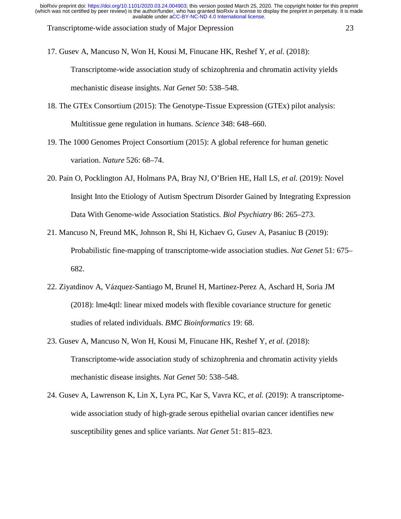Transcriptome-wide association study of Major Depression 23

17. Gusev A, Mancuso N, Won H, Kousi M, Finucane HK, Reshef Y, *et al.* (2018):

Transcriptome-wide association study of schizophrenia and chromatin activity yields mechanistic disease insights. *Nat Genet* 50: 538–548.

- 18. The GTEx Consortium (2015): The Genotype-Tissue Expression (GTEx) pilot analysis: Multitissue gene regulation in humans. *Science* 348: 648–660.
- 19. The 1000 Genomes Project Consortium (2015): A global reference for human genetic variation. *Nature* 526: 68–74.
- 20. Pain O, Pocklington AJ, Holmans PA, Bray NJ, O'Brien HE, Hall LS, *et al.* (2019): Novel Insight Into the Etiology of Autism Spectrum Disorder Gained by Integrating Expression Data With Genome-wide Association Statistics. *Biol Psychiatry* 86: 265–273.
- 21. Mancuso N, Freund MK, Johnson R, Shi H, Kichaev G, Gusev A, Pasaniuc B (2019): Probabilistic fine-mapping of transcriptome-wide association studies. *Nat Genet* 51: 675– 682.
- 22. Ziyatdinov A, Vázquez-Santiago M, Brunel H, Martinez-Perez A, Aschard H, Soria JM (2018): lme4qtl: linear mixed models with flexible covariance structure for genetic studies of related individuals. *BMC Bioinformatics* 19: 68.
- 23. Gusev A, Mancuso N, Won H, Kousi M, Finucane HK, Reshef Y, *et al.* (2018): Transcriptome-wide association study of schizophrenia and chromatin activity yields mechanistic disease insights. *Nat Genet* 50: 538–548.
- 24. Gusev A, Lawrenson K, Lin X, Lyra PC, Kar S, Vavra KC, *et al.* (2019): A transcriptomewide association study of high-grade serous epithelial ovarian cancer identifies new susceptibility genes and splice variants. *Nat Genet* 51: 815–823.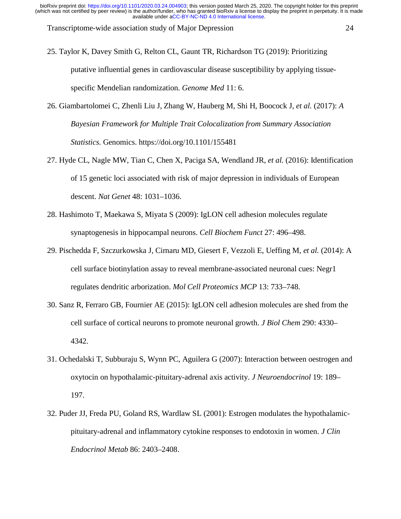Transcriptome-wide association study of Major Depression 24

- 25. Taylor K, Davey Smith G, Relton CL, Gaunt TR, Richardson TG (2019): Prioritizing putative influential genes in cardiovascular disease susceptibility by applying tissuespecific Mendelian randomization. *Genome Med* 11: 6.
- 26. Giambartolomei C, Zhenli Liu J, Zhang W, Hauberg M, Shi H, Boocock J, *et al.* (2017): *A Bayesian Framework for Multiple Trait Colocalization from Summary Association Statistics*. Genomics. https://doi.org/10.1101/155481
- 27. Hyde CL, Nagle MW, Tian C, Chen X, Paciga SA, Wendland JR, *et al.* (2016): Identification of 15 genetic loci associated with risk of major depression in individuals of European descent. *Nat Genet* 48: 1031–1036.
- 28. Hashimoto T, Maekawa S, Miyata S (2009): IgLON cell adhesion molecules regulate synaptogenesis in hippocampal neurons. *Cell Biochem Funct* 27: 496–498.
- 29. Pischedda F, Szczurkowska J, Cirnaru MD, Giesert F, Vezzoli E, Ueffing M, *et al.* (2014): A cell surface biotinylation assay to reveal membrane-associated neuronal cues: Negr1 regulates dendritic arborization. *Mol Cell Proteomics MCP* 13: 733–748.
- 30. Sanz R, Ferraro GB, Fournier AE (2015): IgLON cell adhesion molecules are shed from the cell surface of cortical neurons to promote neuronal growth. *J Biol Chem* 290: 4330– 4342.
- 31. Ochedalski T, Subburaju S, Wynn PC, Aguilera G (2007): Interaction between oestrogen and oxytocin on hypothalamic-pituitary-adrenal axis activity. *J Neuroendocrinol* 19: 189– 197.
- 32. Puder JJ, Freda PU, Goland RS, Wardlaw SL (2001): Estrogen modulates the hypothalamicpituitary-adrenal and inflammatory cytokine responses to endotoxin in women. *J Clin Endocrinol Metab* 86: 2403–2408.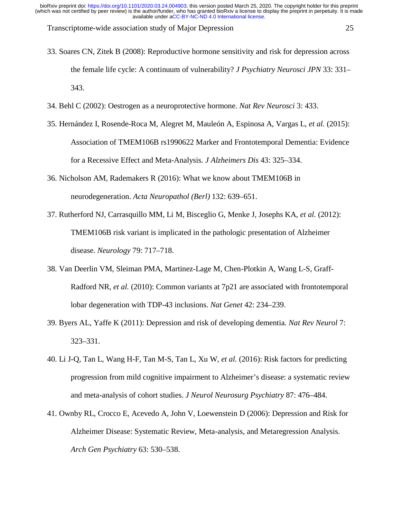Transcriptome-wide association study of Major Depression 25

- 33. Soares CN, Zitek B (2008): Reproductive hormone sensitivity and risk for depression across the female life cycle: A continuum of vulnerability? *J Psychiatry Neurosci JPN* 33: 331– 343.
- 34. Behl C (2002): Oestrogen as a neuroprotective hormone. *Nat Rev Neurosci* 3: 433.
- 35. Hernández I, Rosende-Roca M, Alegret M, Mauleón A, Espinosa A, Vargas L, *et al.* (2015): Association of TMEM106B rs1990622 Marker and Frontotemporal Dementia: Evidence for a Recessive Effect and Meta-Analysis. *J Alzheimers Dis* 43: 325–334.
- 36. Nicholson AM, Rademakers R (2016): What we know about TMEM106B in neurodegeneration. *Acta Neuropathol (Berl)* 132: 639–651.
- 37. Rutherford NJ, Carrasquillo MM, Li M, Bisceglio G, Menke J, Josephs KA, *et al.* (2012): TMEM106B risk variant is implicated in the pathologic presentation of Alzheimer disease. *Neurology* 79: 717–718.
- 38. Van Deerlin VM, Sleiman PMA, Martinez-Lage M, Chen-Plotkin A, Wang L-S, Graff-Radford NR, *et al.* (2010): Common variants at 7p21 are associated with frontotemporal lobar degeneration with TDP-43 inclusions. *Nat Genet* 42: 234–239.
- 39. Byers AL, Yaffe K (2011): Depression and risk of developing dementia. *Nat Rev Neurol* 7: 323–331.
- 40. Li J-Q, Tan L, Wang H-F, Tan M-S, Tan L, Xu W, *et al.* (2016): Risk factors for predicting progression from mild cognitive impairment to Alzheimer's disease: a systematic review and meta-analysis of cohort studies. *J Neurol Neurosurg Psychiatry* 87: 476–484.
- 41. Ownby RL, Crocco E, Acevedo A, John V, Loewenstein D (2006): Depression and Risk for Alzheimer Disease: Systematic Review, Meta-analysis, and Metaregression Analysis. *Arch Gen Psychiatry* 63: 530–538.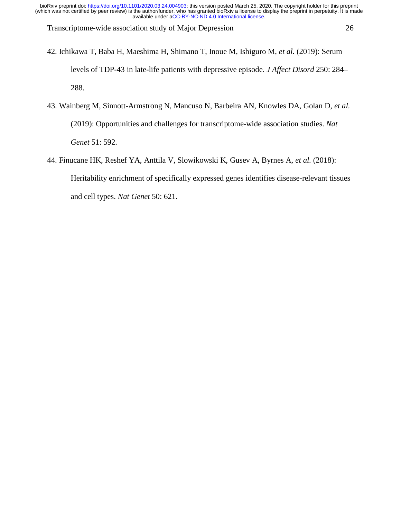Transcriptome-wide association study of Major Depression 26

- 42. Ichikawa T, Baba H, Maeshima H, Shimano T, Inoue M, Ishiguro M, *et al.* (2019): Serum levels of TDP-43 in late-life patients with depressive episode. *J Affect Disord* 250: 284– 288.
- 43. Wainberg M, Sinnott-Armstrong N, Mancuso N, Barbeira AN, Knowles DA, Golan D, *et al.* (2019): Opportunities and challenges for transcriptome-wide association studies. *Nat Genet* 51: 592.
- 44. Finucane HK, Reshef YA, Anttila V, Slowikowski K, Gusev A, Byrnes A, *et al.* (2018): Heritability enrichment of specifically expressed genes identifies disease-relevant tissues and cell types. *Nat Genet* 50: 621.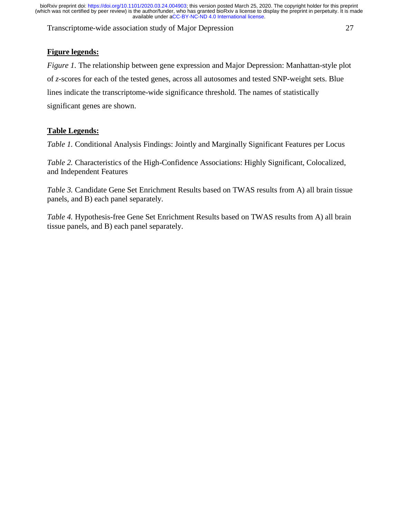Transcriptome-wide association study of Major Depression 27

# **Figure legends:**

*Figure 1.* The relationship between gene expression and Major Depression: Manhattan-style plot of *z*-scores for each of the tested genes, across all autosomes and tested SNP-weight sets. Blue lines indicate the transcriptome-wide significance threshold. The names of statistically significant genes are shown.

# **Table Legends:**

*Table 1.* Conditional Analysis Findings: Jointly and Marginally Significant Features per Locus

*Table 2.* Characteristics of the High-Confidence Associations: Highly Significant, Colocalized, and Independent Features

*Table 3.* Candidate Gene Set Enrichment Results based on TWAS results from A) all brain tissue panels, and B) each panel separately.

*Table 4.* Hypothesis-free Gene Set Enrichment Results based on TWAS results from A) all brain tissue panels, and B) each panel separately.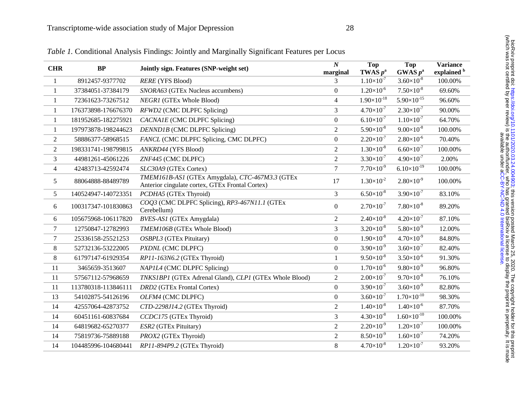| <b>CHR</b>     | BP                  | Jointly sign. Features (SNP-weight set)                                                            | $\boldsymbol{N}$<br>marginal | <b>Top</b><br><b>TWAS</b> $p^a$ | <b>Top</b><br>GWAS $p^a$ | <b>Variance</b><br>explained b |
|----------------|---------------------|----------------------------------------------------------------------------------------------------|------------------------------|---------------------------------|--------------------------|--------------------------------|
| 1              | 8912457-9377702     | RERE (YFS Blood)                                                                                   | 3                            | $1.10\times10^{-7}$             | $3.60\times10^{-8}$      | 100.00%                        |
| 1              | 37384051-37384179   | SNORA63 (GTEx Nucleus accumbens)                                                                   | $\mathbf{0}$                 | $1.20\times10^{-6}$             | $7.50\times10^{-8}$      | 69.60%                         |
| 1              | 72361623-73267512   | NEGR1 (GTEx Whole Blood)                                                                           | $\overline{4}$               | $1.90\times10^{-18}$            | $5.90\times10^{-15}$     | 96.60%                         |
| 1              | 176373898-176676370 | RFWD2 (CMC DLPFC Splicing)                                                                         | 3                            | $4.70\times10^{-7}$             | $2.30\times10^{-7}$      | 90.00%                         |
| 1              | 181952685-182275921 | CACNA1E (CMC DLPFC Splicing)                                                                       | $\boldsymbol{0}$             | $6.10\times10^{-7}$             | $1.10\times10^{-7}$      | 64.70%                         |
| 1              | 197973878-198244623 | DENND1B (CMC DLPFC Splicing)                                                                       | $\overline{2}$               | $5.90\times10^{-8}$             | $9.00\times10^{-8}$      | 100.00%                        |
| $\overline{2}$ | 58886377-58968515   | FANCL (CMC DLPFC Splicing, CMC DLPFC)                                                              | $\boldsymbol{0}$             | $2.20\times10^{-7}$             | $2.80\times10^{-6}$      | 70.40%                         |
| 2              | 198331741-198799815 | ANKRD44 (YFS Blood)                                                                                | $\overline{2}$               | $1.30\times10^{-8}$             | $6.60\times10^{-7}$      | 100.00%                        |
| 3              | 44981261-45061226   | ZNF445 (CMC DLPFC)                                                                                 | $\overline{2}$               | $3.30\times10^{-7}$             | $4.90\times10^{-7}$      | 2.00%                          |
| $\overline{4}$ | 42483713-42592474   | SLC30A9 (GTEx Cortex)                                                                              | $\overline{7}$               | $7.70\times10^{-9}$             | $6.10\times10^{-19}$     | 100.00%                        |
| 5              | 88064888-88489789   | TMEM161B-AS1 (GTEx Amygdala), CTC-467M3.3 (GTEx<br>Anterior cingulate cortex, GTEx Frontal Cortex) | 17                           | $1.30\times10^{2}$              | $2.80\times10^{9}$       | 100.00%                        |
| 5              | 140524947-140723351 | PCDHA5 (GTEx Thyroid)                                                                              | 3                            | $6.50\times10^{8}$              | $3.90\times10^{-7}$      | 83.10%                         |
| 6              | 100317347-101830863 | COQ3 (CMC DLPFC Splicing), RP3-467N11.1 (GTEx<br>Cerebellum)                                       | $\boldsymbol{0}$             | $2.70\times10^{-7}$             | $7.80\times10^{-8}$      | 89.20%                         |
| 6              | 105675968-106117820 | BVES-ASI (GTEx Amygdala)                                                                           | $\overline{2}$               | $2.40\times10^{-8}$             | $4.20\times10^{-7}$      | 87.10%                         |
| $\tau$         | 12750847-12782993   | TMEM106B (GTEx Whole Blood)                                                                        | 3                            | $3.20\times10^{-8}$             | $5.80\times10^{9}$       | 12.00%                         |
| $\tau$         | 25336158-25521253   | OSBPL3 (GTEx Pituitary)                                                                            | $\overline{0}$               | $1.90\times10^{-8}$             | $4.70\times10^{-9}$      | 84.80%                         |
| $8\,$          | 52732136-53222005   | PXDNL (CMC DLPFC)                                                                                  | $\overline{0}$               | $3.90\times10^{9}$              | $3.60\times10^{-7}$      | 82.40%                         |
| 8              | 61797147-61929354   | RP11-163N6.2 (GTEx Thyroid)                                                                        | $\mathbf{1}$                 | $9.50\times10^{-8}$             | $3.50\times10^{-6}$      | 91.30%                         |
| 11             | 3465659-3513607     | NAPIL4 (CMC DLPFC Splicing)                                                                        | $\boldsymbol{0}$             | $1.70\times10^{-6}$             | $9.80\times10^{-9}$      | 96.80%                         |
| 11             | 57567112-57968659   | TNKS1BP1 (GTEx Adrenal Gland), CLP1 (GTEx Whole Blood)                                             | $\overline{2}$               | $2.00\times10^{-7}$             | $9.70\times10^{-8}$      | 76.10%                         |
| 11             | 113780318-113846111 | DRD2 (GTEx Frontal Cortex)                                                                         | $\boldsymbol{0}$             | $3.90\times10^{-7}$             | $3.60\times10^{-9}$      | 82.80%                         |
| 13             | 54102875-54126196   | OLFM4 (CMC DLPFC)                                                                                  | $\mathbf{0}$                 | $3.60\times10^{-7}$             | $1.70\times10^{-10}$     | 98.30%                         |
| 14             | 42557064-42873752   | CTD-2298J14.2 (GTEx Thyroid)                                                                       | $\overline{2}$               | $1.40\times10^{-8}$             | $1.40\times10^{-6}$      | 87.70%                         |
| 14             | 60451161-60837684   | CCDC175 (GTEx Thyroid)                                                                             | 3                            | $4.30\times10^{-8}$             | $1.60\times10^{-10}$     | 100.00%                        |
| 14             | 64819682-65270377   | ESR2 (GTEx Pituitary)                                                                              | $\overline{2}$               | $2.20\times10^{-9}$             | $1.20\times10^{-7}$      | 100.00%                        |
| 14             | 75819736-75889188   | PROX2 (GTEx Thyroid)                                                                               | $\overline{2}$               | $8.50\times10^{-9}$             | $1.60\times10^{-7}$      | 74.20%                         |
| 14             | 104485996-104680441 | RP11-894P9.2 (GTEx Thyroid)                                                                        | 8                            | $4.70\times10^{-8}$             | $1.20\times10^{-7}$      | 93.20%                         |
|                |                     |                                                                                                    |                              |                                 |                          |                                |

*Table 1.* Conditional Analysis Findings: Jointly and Marginally Significant Features per Locus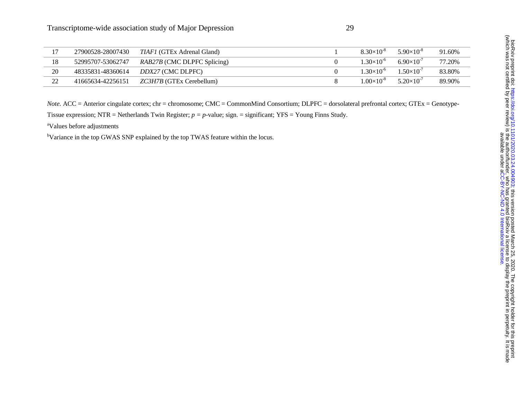|    | 27900528-28007430 | <i>TIAF1</i> (GTEx Adrenal Gland)  | $8.30\times10^{-8}$ | $5.90\times10^{-8}$ | 91.60% |
|----|-------------------|------------------------------------|---------------------|---------------------|--------|
| 18 | 52995707-53062747 | <i>RAB27B</i> (CMC DLPFC Splicing) | $1.30\times10^{-6}$ | $6.90\times10^{-7}$ | 77.20% |
| 20 | 48335831-48360614 | <i>DDX27</i> (CMC DLPFC)           | $1.30\times10^{-6}$ | $1.50\times10^{-7}$ | 83.80% |
| າາ | 41665634-42256151 | <i>ZC3H7B</i> (GTEx Cerebellum)    | $1.00\times10^{-8}$ | $5.20\times10^{-7}$ | 89.90% |

*Note.* ACC = Anterior cingulate cortex; chr = chromosome; CMC = CommonMind Consortium; DLPFC = dorsolateral prefrontal cortex; GTEx = Genotype-

Tissue expression; NTR = Netherlands Twin Register; *p = p-*value; sign. = significant; YFS = Young Finns Study.

aValues before adjustments

<sup>b</sup>Variance in the top GWAS SNP explained by the top TWAS feature within the locus.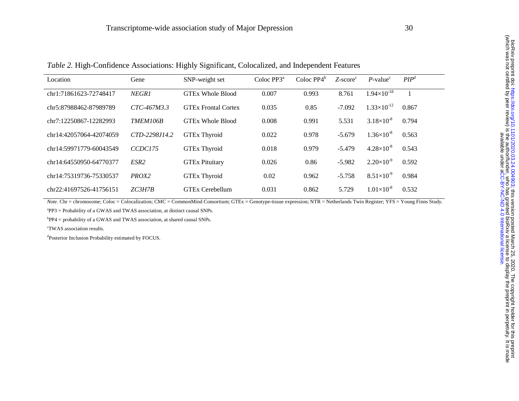| Location                | Gene              | SNP-weight set             | Coloc $PP3a$ | Coloc $PP4^b$ | $Z$ -score $c$ | $P$ -value <sup>c</sup> | PIP <sup>d</sup> |
|-------------------------|-------------------|----------------------------|--------------|---------------|----------------|-------------------------|------------------|
| chr1:71861623-72748417  | <b>NEGR1</b>      | <b>GTEx Whole Blood</b>    | 0.007        | 0.993         | 8.761          | $1.94\times10^{-18}$    |                  |
| chr5:87988462-87989789  | $CTC-467M3.3$     | <b>GTEx Frontal Cortex</b> | 0.035        | 0.85          | $-7.092$       | $1.33\times10^{-12}$    | 0.867            |
| chr7:12250867-12282993  | <b>TMEM106B</b>   | <b>GTEx Whole Blood</b>    | 0.008        | 0.991         | 5.531          | $3.18\times10^{-8}$     | 0.794            |
| chr14:42057064-42074059 | CTD-2298J14.2     | <b>GTEx Thyroid</b>        | 0.022        | 0.978         | $-5.679$       | $1.36\times10^{-8}$     | 0.563            |
| chr14:59971779-60043549 | CCDC175           | <b>GTEx Thyroid</b>        | 0.018        | 0.979         | $-5.479$       | $4.28\times10^{-8}$     | 0.543            |
| chr14:64550950-64770377 | ESR <sub>2</sub>  | <b>GTEx Pituitary</b>      | 0.026        | 0.86          | $-5.982$       | $2.20\times10^{-9}$     | 0.592            |
| chr14:75319736-75330537 | PROX <sub>2</sub> | <b>GTEx Thyroid</b>        | 0.02         | 0.962         | $-5.758$       | $8.51\times10^{-9}$     | 0.984            |
| chr22:41697526-41756151 | ZC3H7B            | <b>GTEx Cerebellum</b>     | 0.031        | 0.862         | 5.729          | $1.01\times10^{-8}$     | 0.532            |

*Table 2.* High-Confidence Associations: Highly Significant, Colocalized, and Independent Features

*Note.* Chr = chromosome; Coloc = Colocalization; CMC = CommonMind Consortium; GTEx = Genotype-tissue expression; NTR = Netherlands Twin Register; YFS = Young Finns Study.

 ${}^{a}PP3$  = Probability of a GWAS and TWAS association, at distinct causal SNPs.

bPP4 = probability of a GWAS and TWAS association, at shared causal SNPs.

cTWAS association results.

dPosterior Inclusion Probability estimated by FOCUS.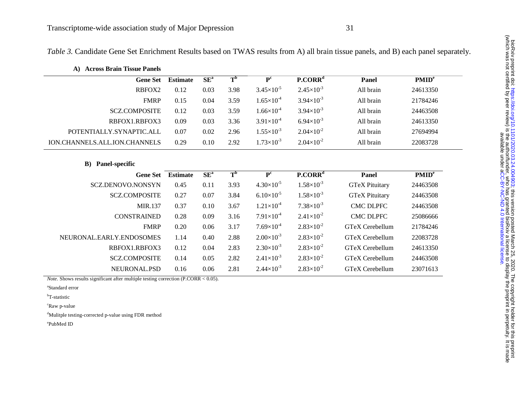*Table 3.* Candidate Gene Set Enrichment Results based on TWAS results from A) all brain tissue panels, and B) each panel separately.

| <b>Across Brain Tissue Panels</b><br>A) |                 |                 |                             |                       |                       |                       |                   |
|-----------------------------------------|-----------------|-----------------|-----------------------------|-----------------------|-----------------------|-----------------------|-------------------|
| <b>Gene Set</b>                         | <b>Estimate</b> | SE <sup>a</sup> | $\mathbf{T}^{\mathbf{b}}$   | P <sup>c</sup>        | P. CORR <sup>d</sup>  | Panel                 | PMID <sup>e</sup> |
| RBFOX2                                  | 0.12            | 0.03            | 3.98                        | $3.45\times10^{-5}$   | $2.45\times10^{-3}$   | All brain             | 24613350          |
| <b>FMRP</b>                             | 0.15            | 0.04            | 3.59                        | $1.65\times10^{-4}$   | $3.94 \times 10^{-3}$ | All brain             | 21784246          |
| <b>SCZ.COMPOSITE</b>                    | 0.12            | 0.03            | 3.59                        | $1.66\times10^{-4}$   | $3.94 \times 10^{-3}$ | All brain             | 24463508          |
| RBFOX1.RBFOX3                           | 0.09            | 0.03            | 3.36                        | $3.91\times10^{-4}$   | $6.94\times10^{-3}$   | All brain             | 24613350          |
| POTENTIALLY.SYNAPTIC.ALL                | 0.07            | 0.02            | 2.96                        | $1.55 \times 10^{-3}$ | $2.04\times10^{-2}$   | All brain             | 27694994          |
| ION.CHANNELS.ALL.ION.CHANNELS           | 0.29            | 0.10            | 2.92                        | $1.73 \times 10^{-3}$ | $2.04\times10^{-2}$   | All brain             | 22083728          |
| Panel-specific<br>B)                    |                 |                 |                             |                       |                       |                       |                   |
|                                         |                 |                 |                             |                       |                       |                       |                   |
| <b>Gene Set</b>                         | <b>Estimate</b> | SE <sup>a</sup> | $\overline{T}^{\mathbf{b}}$ | P <sup>c</sup>        | $P$ .COR $Rd$         | Panel                 | PMID <sup>e</sup> |
| SCZ.DENOVO.NONSYN                       | 0.45            | 0.11            | 3.93                        | $4.30\times10^{-5}$   | $1.58\times10^{-3}$   | <b>GTeX Pituitary</b> | 24463508          |
| <b>SCZ.COMPOSITE</b>                    | 0.27            | 0.07            | 3.84                        | $6.10\times10^{-5}$   | $1.58\times10^{-3}$   | <b>GTeX Pituitary</b> | 24463508          |
| MIR.137                                 | 0.37            | 0.10            | 3.67                        | $1.21 \times 10^{-4}$ | $7.38\times10^{-3}$   | <b>CMC DLPFC</b>      | 24463508          |
| <b>CONSTRAINED</b>                      | 0.28            | 0.09            | 3.16                        | $7.91\times10^{-4}$   | $2.41\times10^{-2}$   | <b>CMC DLPFC</b>      | 25086666          |
| <b>FMRP</b>                             | 0.20            | 0.06            | 3.17                        | $7.69\times10^{4}$    | $2.83\times10^{-2}$   | GTeX Cerebellum       | 21784246          |
| NEURONAL.EARLY.ENDOSOMES                | 1.14            | 0.40            | 2.88                        | $2.00\times10^{-3}$   | $2.83\times10^{-2}$   | GTeX Cerebellum       | 22083728          |
| RBFOX1.RBFOX3                           | 0.12            | 0.04            | 2.83                        | $2.30\times10^{-3}$   | $2.83 \times 10^{-2}$ | GTeX Cerebellum       | 24613350          |
| <b>SCZ.COMPOSITE</b>                    | 0.14            | 0.05            | 2.82                        | $2.41 \times 10^{-3}$ | $2.83\times10^{-2}$   | GTeX Cerebellum       | 24463508          |

*Note.* Shows results significant after multiple testing correction (P.CORR < 0.05).

aStandard error

<sup>b</sup>T-statistic

<sup>c</sup>Raw p-value

<sup>d</sup>Mulitple testing-corrected p-value using FDR method

ePubMed ID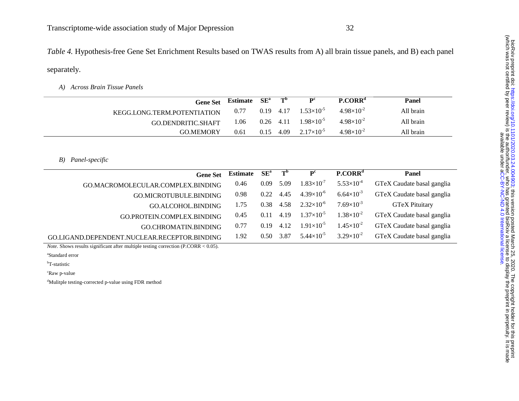*Table 4.* Hypothesis-free Gene Set Enrichment Results based on TWAS results from A) all brain tissue panels, and B) each panel separately.

*A) Across Brain Tissue Panels* 

| <b>Gene Set</b>             | Estimate | $\rm SE^a$  | $\mathbf{T}^{\mathbf{b}}$ | $\mathbf{p}^{\rm c}$ | $P_{\cdot}CORR^{d}$ | Panel     |
|-----------------------------|----------|-------------|---------------------------|----------------------|---------------------|-----------|
| KEGG.LONG.TERM.POTENTIATION | 0.77     | $0.19$ 4.17 |                           | $1.53\times10^{-5}$  | $4.98\times10^{-2}$ | All brain |
| GO.DENDRITIC.SHAFT          | 1.06     | $0.26$ 4.11 |                           | $1.98\times10^{-5}$  | $4.98\times10^{-2}$ | All brain |
| <b>GO MEMORY</b>            | 0.61     | 0.15        | 4.09                      | $2.17\times10^{-5}$  | $4.98\times10^{-2}$ | All brain |

*B) Panel-specific* 

| <b>Gene Set</b>                              | Estimate | $SE^a$ | $T^{\rm b}$ | $\mathbf{p}^{\text{c}}$ | P. CORR <sup>d</sup> | Panel                      |
|----------------------------------------------|----------|--------|-------------|-------------------------|----------------------|----------------------------|
| GO.MACROMOLECULAR.COMPLEX.BINDING            | 0.46     | 0.09   | 5.09        | $1.83\times10^{-7}$     | $5.53\times10^{-4}$  | GTeX Caudate basal ganglia |
| GO.MICROTUBULE.BINDING                       | 0.98     | 0.22   | 4.45        | $4.39\times10^{-6}$     | $6.64\times10^{-3}$  | GTeX Caudate basal ganglia |
| GO.ALCOHOL.BINDING                           | 1.75     | 0.38   | 4.58        | $2.32\times10^{-6}$     | $7.69\times10^{-3}$  | <b>GTeX Pituitary</b>      |
| GO.PROTEIN.COMPLEX.BINDING                   | 0.45     | 0.11   | 4.19        | $1.37\times10^{-5}$     | $1.38\times10^{2}$   | GTeX Caudate basal ganglia |
| GO.CHROMATIN.BINDING                         | 0.77     | 0.19   | 4.12        | $1.91\times10^{-5}$     | $1.45\times10^{-2}$  | GTeX Caudate basal ganglia |
| GO.LIGAND.DEPENDENT.NUCLEAR.RECEPTOR.BINDING | 1.92     | 0.50   | 3.87        | $5.44\times10^{-5}$     | $3.29\times10^{-2}$  | GTeX Caudate basal ganglia |
|                                              |          |        |             |                         |                      |                            |

*Note.* Shows results significant after multiple testing correction (P.CORR < 0.05).

aStandard error

<sup>b</sup>T-statistic

cRaw p-value

dMulitple testing-corrected p-value using FDR method